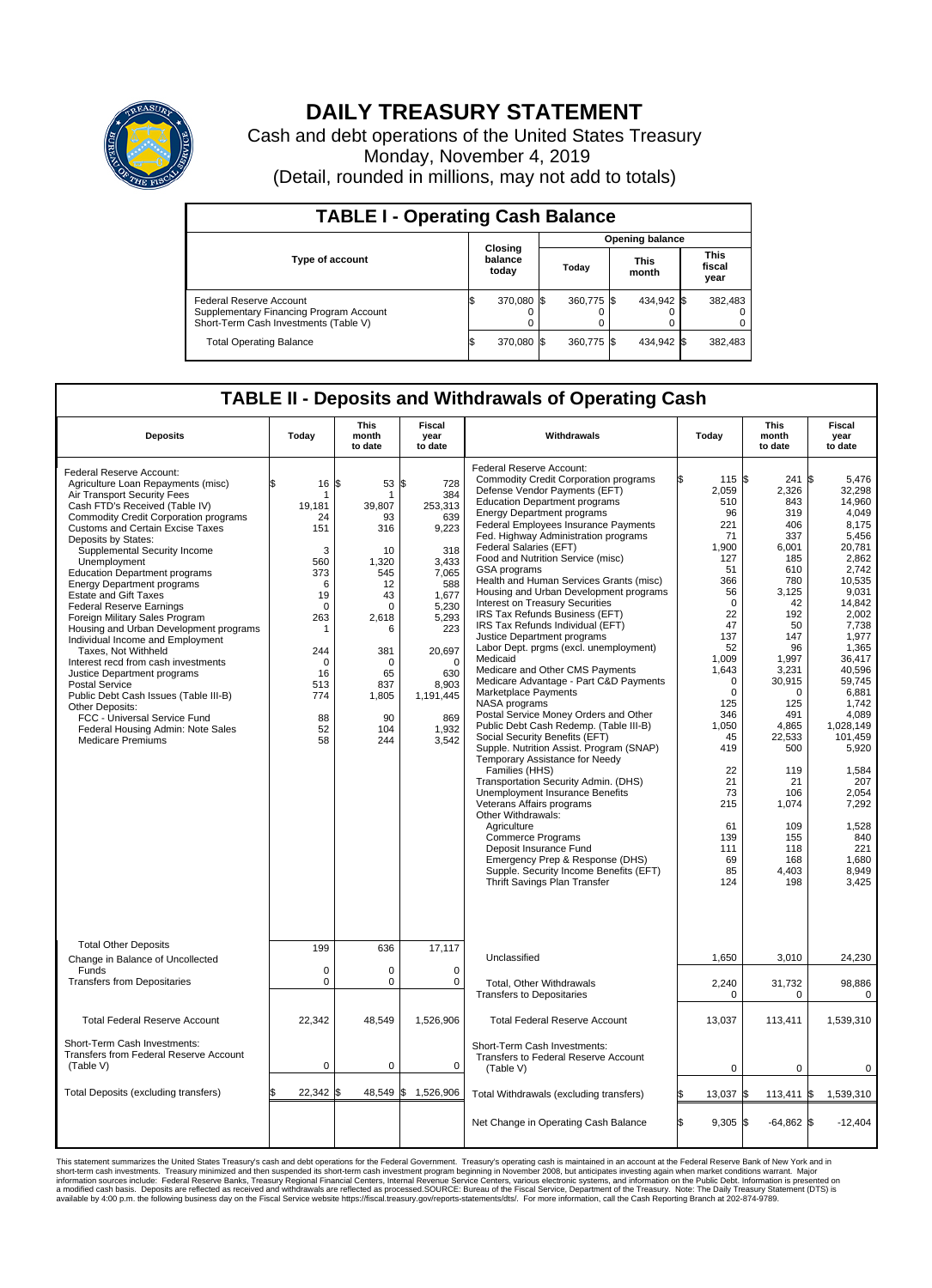

## **DAILY TREASURY STATEMENT**

Cash and debt operations of the United States Treasury Monday, November 4, 2019 (Detail, rounded in millions, may not add to totals)

| <b>TABLE I - Operating Cash Balance</b>                                                                     |  |                             |  |                        |  |                      |  |                               |  |  |  |
|-------------------------------------------------------------------------------------------------------------|--|-----------------------------|--|------------------------|--|----------------------|--|-------------------------------|--|--|--|
|                                                                                                             |  | Closing<br>balance<br>today |  | <b>Opening balance</b> |  |                      |  |                               |  |  |  |
| <b>Type of account</b>                                                                                      |  |                             |  | Todav                  |  | <b>This</b><br>month |  | <b>This</b><br>fiscal<br>year |  |  |  |
| Federal Reserve Account<br>Supplementary Financing Program Account<br>Short-Term Cash Investments (Table V) |  | 370,080 \$                  |  | 360,775 \$             |  | 434.942 \$           |  | 382,483                       |  |  |  |
| <b>Total Operating Balance</b>                                                                              |  | 370,080 \$                  |  | 360,775 \$             |  | 434,942 \$           |  | 382,483                       |  |  |  |

## **TABLE II - Deposits and Withdrawals of Operating Cash**

| <b>Deposits</b>                                                                                                                                                                                                                                                                                                                                                                                                                                                                                                                                                                                                                                                                                                                                                                                                                                      | Today                                                                                                                                                   | <b>This</b><br>month<br>to date                                                                                                                               | <b>Fiscal</b><br>year<br>to date                                                                                                                                                          | Withdrawals                                                                                                                                                                                                                                                                                                                                                                                                                                                                                                                                                                                                                                                                                                                                                                                                                                                                                                                                                                                                                                                                                                                                                                                                                                                                                         | Today                                                                                                                                                                                                                                                                    | <b>This</b><br>month<br>to date                                                                                                                                                                                                                                   | <b>Fiscal</b><br>year<br>to date                                                                                                                                                                                                                                                                                                       |
|------------------------------------------------------------------------------------------------------------------------------------------------------------------------------------------------------------------------------------------------------------------------------------------------------------------------------------------------------------------------------------------------------------------------------------------------------------------------------------------------------------------------------------------------------------------------------------------------------------------------------------------------------------------------------------------------------------------------------------------------------------------------------------------------------------------------------------------------------|---------------------------------------------------------------------------------------------------------------------------------------------------------|---------------------------------------------------------------------------------------------------------------------------------------------------------------|-------------------------------------------------------------------------------------------------------------------------------------------------------------------------------------------|-----------------------------------------------------------------------------------------------------------------------------------------------------------------------------------------------------------------------------------------------------------------------------------------------------------------------------------------------------------------------------------------------------------------------------------------------------------------------------------------------------------------------------------------------------------------------------------------------------------------------------------------------------------------------------------------------------------------------------------------------------------------------------------------------------------------------------------------------------------------------------------------------------------------------------------------------------------------------------------------------------------------------------------------------------------------------------------------------------------------------------------------------------------------------------------------------------------------------------------------------------------------------------------------------------|--------------------------------------------------------------------------------------------------------------------------------------------------------------------------------------------------------------------------------------------------------------------------|-------------------------------------------------------------------------------------------------------------------------------------------------------------------------------------------------------------------------------------------------------------------|----------------------------------------------------------------------------------------------------------------------------------------------------------------------------------------------------------------------------------------------------------------------------------------------------------------------------------------|
| Federal Reserve Account:<br>Agriculture Loan Repayments (misc)<br>Air Transport Security Fees<br>Cash FTD's Received (Table IV)<br><b>Commodity Credit Corporation programs</b><br><b>Customs and Certain Excise Taxes</b><br>Deposits by States:<br>Supplemental Security Income<br>Unemployment<br><b>Education Department programs</b><br><b>Energy Department programs</b><br><b>Estate and Gift Taxes</b><br><b>Federal Reserve Earnings</b><br>Foreign Military Sales Program<br>Housing and Urban Development programs<br>Individual Income and Employment<br>Taxes. Not Withheld<br>Interest recd from cash investments<br>Justice Department programs<br><b>Postal Service</b><br>Public Debt Cash Issues (Table III-B)<br>Other Deposits:<br>FCC - Universal Service Fund<br>Federal Housing Admin: Note Sales<br><b>Medicare Premiums</b> | \$<br>16<br>-1<br>19,181<br>24<br>151<br>3<br>560<br>373<br>6<br>19<br>$\mathbf 0$<br>263<br>1<br>244<br>$\Omega$<br>16<br>513<br>774<br>88<br>52<br>58 | \$<br>53<br>1<br>39,807<br>93<br>316<br>10<br>1,320<br>545<br>12<br>43<br>$\Omega$<br>2,618<br>6<br>381<br>$\Omega$<br>65<br>837<br>1,805<br>90<br>104<br>244 | \$<br>728<br>384<br>253,313<br>639<br>9,223<br>318<br>3,433<br>7.065<br>588<br>1,677<br>5,230<br>5,293<br>223<br>20,697<br>$\Omega$<br>630<br>8,903<br>1,191,445<br>869<br>1,932<br>3,542 | Federal Reserve Account:<br><b>Commodity Credit Corporation programs</b><br>Defense Vendor Payments (EFT)<br><b>Education Department programs</b><br><b>Energy Department programs</b><br>Federal Employees Insurance Payments<br>Fed. Highway Administration programs<br>Federal Salaries (EFT)<br>Food and Nutrition Service (misc)<br>GSA programs<br>Health and Human Services Grants (misc)<br>Housing and Urban Development programs<br>Interest on Treasury Securities<br>IRS Tax Refunds Business (EFT)<br>IRS Tax Refunds Individual (EFT)<br>Justice Department programs<br>Labor Dept. prgms (excl. unemployment)<br>Medicaid<br>Medicare and Other CMS Payments<br>Medicare Advantage - Part C&D Payments<br>Marketplace Payments<br>NASA programs<br>Postal Service Money Orders and Other<br>Public Debt Cash Redemp. (Table III-B)<br>Social Security Benefits (EFT)<br>Supple. Nutrition Assist. Program (SNAP)<br>Temporary Assistance for Needy<br>Families (HHS)<br>Transportation Security Admin. (DHS)<br>Unemployment Insurance Benefits<br>Veterans Affairs programs<br>Other Withdrawals:<br>Agriculture<br><b>Commerce Programs</b><br>Deposit Insurance Fund<br>Emergency Prep & Response (DHS)<br>Supple. Security Income Benefits (EFT)<br>Thrift Savings Plan Transfer | 115 \$<br>2,059<br>510<br>96<br>221<br>71<br>1,900<br>127<br>51<br>366<br>56<br>$\mathbf 0$<br>22<br>47<br>137<br>52<br>1.009<br>1,643<br>$\mathbf 0$<br>$\mathbf 0$<br>125<br>346<br>1,050<br>45<br>419<br>22<br>21<br>73<br>215<br>61<br>139<br>111<br>69<br>85<br>124 | 241<br>2,326<br>843<br>319<br>406<br>337<br>6,001<br>185<br>610<br>780<br>3,125<br>42<br>192<br>50<br>147<br>96<br>1,997<br>3,231<br>30,915<br>0<br>125<br>491<br>4,865<br>22,533<br>500<br>119<br>21<br>106<br>1,074<br>109<br>155<br>118<br>168<br>4.403<br>198 | l\$<br>5.476<br>32,298<br>14.960<br>4,049<br>8,175<br>5,456<br>20,781<br>2,862<br>2,742<br>10.535<br>9,031<br>14,842<br>2,002<br>7,738<br>1,977<br>1,365<br>36.417<br>40.596<br>59,745<br>6,881<br>1.742<br>4.089<br>1,028,149<br>101,459<br>5,920<br>1,584<br>207<br>2,054<br>7,292<br>1,528<br>840<br>221<br>1.680<br>8,949<br>3,425 |
| <b>Total Other Deposits</b><br>Change in Balance of Uncollected                                                                                                                                                                                                                                                                                                                                                                                                                                                                                                                                                                                                                                                                                                                                                                                      | 199                                                                                                                                                     | 636                                                                                                                                                           | 17,117                                                                                                                                                                                    | Unclassified                                                                                                                                                                                                                                                                                                                                                                                                                                                                                                                                                                                                                                                                                                                                                                                                                                                                                                                                                                                                                                                                                                                                                                                                                                                                                        | 1,650                                                                                                                                                                                                                                                                    | 3,010                                                                                                                                                                                                                                                             | 24,230                                                                                                                                                                                                                                                                                                                                 |
| Funds<br><b>Transfers from Depositaries</b>                                                                                                                                                                                                                                                                                                                                                                                                                                                                                                                                                                                                                                                                                                                                                                                                          | $\mathbf 0$<br>$\mathbf 0$                                                                                                                              | $\Omega$<br>0                                                                                                                                                 | $\Omega$<br>0                                                                                                                                                                             | Total, Other Withdrawals<br><b>Transfers to Depositaries</b>                                                                                                                                                                                                                                                                                                                                                                                                                                                                                                                                                                                                                                                                                                                                                                                                                                                                                                                                                                                                                                                                                                                                                                                                                                        | 2,240<br>0                                                                                                                                                                                                                                                               | 31,732<br>$\mathbf 0$                                                                                                                                                                                                                                             | 98,886<br>$\mathbf 0$                                                                                                                                                                                                                                                                                                                  |
| <b>Total Federal Reserve Account</b>                                                                                                                                                                                                                                                                                                                                                                                                                                                                                                                                                                                                                                                                                                                                                                                                                 | 22,342                                                                                                                                                  | 48,549                                                                                                                                                        | 1,526,906                                                                                                                                                                                 | <b>Total Federal Reserve Account</b>                                                                                                                                                                                                                                                                                                                                                                                                                                                                                                                                                                                                                                                                                                                                                                                                                                                                                                                                                                                                                                                                                                                                                                                                                                                                | 13,037                                                                                                                                                                                                                                                                   | 113,411                                                                                                                                                                                                                                                           | 1,539,310                                                                                                                                                                                                                                                                                                                              |
| Short-Term Cash Investments:<br>Transfers from Federal Reserve Account<br>(Table V)                                                                                                                                                                                                                                                                                                                                                                                                                                                                                                                                                                                                                                                                                                                                                                  | 0                                                                                                                                                       | 0                                                                                                                                                             | 0                                                                                                                                                                                         | Short-Term Cash Investments:<br>Transfers to Federal Reserve Account<br>(Table V)                                                                                                                                                                                                                                                                                                                                                                                                                                                                                                                                                                                                                                                                                                                                                                                                                                                                                                                                                                                                                                                                                                                                                                                                                   | 0                                                                                                                                                                                                                                                                        | $\Omega$                                                                                                                                                                                                                                                          | $\Omega$                                                                                                                                                                                                                                                                                                                               |
| Total Deposits (excluding transfers)                                                                                                                                                                                                                                                                                                                                                                                                                                                                                                                                                                                                                                                                                                                                                                                                                 | 22,342<br>\$                                                                                                                                            | ß.                                                                                                                                                            | 48,549 \$1,526,906                                                                                                                                                                        | Total Withdrawals (excluding transfers)                                                                                                                                                                                                                                                                                                                                                                                                                                                                                                                                                                                                                                                                                                                                                                                                                                                                                                                                                                                                                                                                                                                                                                                                                                                             | ß.<br>13,037 \$                                                                                                                                                                                                                                                          | 113,411                                                                                                                                                                                                                                                           | 1,539,310<br>1\$                                                                                                                                                                                                                                                                                                                       |
|                                                                                                                                                                                                                                                                                                                                                                                                                                                                                                                                                                                                                                                                                                                                                                                                                                                      |                                                                                                                                                         |                                                                                                                                                               |                                                                                                                                                                                           | Net Change in Operating Cash Balance                                                                                                                                                                                                                                                                                                                                                                                                                                                                                                                                                                                                                                                                                                                                                                                                                                                                                                                                                                                                                                                                                                                                                                                                                                                                | Ŝ.<br>$9.305$ \$                                                                                                                                                                                                                                                         | $-64,862$ \$                                                                                                                                                                                                                                                      | $-12.404$                                                                                                                                                                                                                                                                                                                              |

This statement summarizes the United States Treasury's cash and debt operations for the Federal Government. Treasury operating in November 2008, but anticinates investing again when market conditions warrant. Major York an